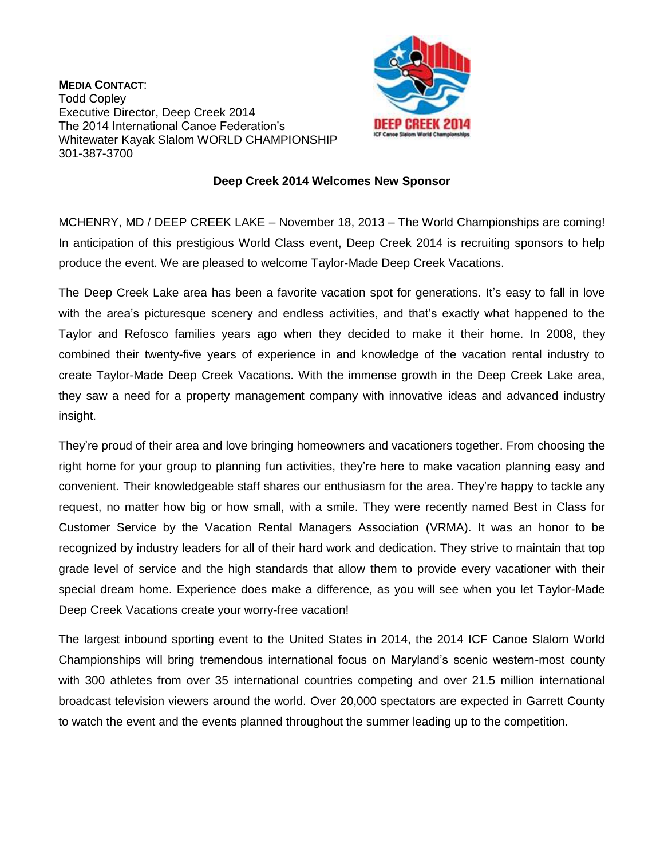**MEDIA CONTACT**: Todd Copley Executive Director, Deep Creek 2014 The 2014 International Canoe Federation's Whitewater Kayak Slalom WORLD CHAMPIONSHIP 301-387-3700



## **Deep Creek 2014 Welcomes New Sponsor**

MCHENRY, MD / DEEP CREEK LAKE – November 18, 2013 – The World Championships are coming! In anticipation of this prestigious World Class event, Deep Creek 2014 is recruiting sponsors to help produce the event. We are pleased to welcome Taylor-Made Deep Creek Vacations.

The Deep Creek Lake area has been a favorite vacation spot for generations. It's easy to fall in love with the area's picturesque scenery and endless activities, and that's exactly what happened to the Taylor and Refosco families years ago when they decided to make it their home. In 2008, they combined their twenty-five years of experience in and knowledge of the vacation rental industry to create Taylor-Made Deep Creek Vacations. With the immense growth in the Deep Creek Lake area, they saw a need for a property management company with innovative ideas and advanced industry insight.

They're proud of their area and love bringing homeowners and vacationers together. From choosing the right home for your group to planning fun activities, they're here to make vacation planning easy and convenient. Their knowledgeable staff shares our enthusiasm for the area. They're happy to tackle any request, no matter how big or how small, with a smile. They were recently named Best in Class for Customer Service by the Vacation Rental Managers Association (VRMA). It was an honor to be recognized by industry leaders for all of their hard work and dedication. They strive to maintain that top grade level of service and the high standards that allow them to provide every vacationer with their special dream home. Experience does make a difference, as you will see when you let Taylor-Made Deep Creek Vacations create your worry-free vacation!

The largest inbound sporting event to the United States in 2014, the 2014 ICF Canoe Slalom World Championships will bring tremendous international focus on Maryland's scenic western-most county with 300 athletes from over 35 international countries competing and over 21.5 million international broadcast television viewers around the world. Over 20,000 spectators are expected in Garrett County to watch the event and the events planned throughout the summer leading up to the competition.